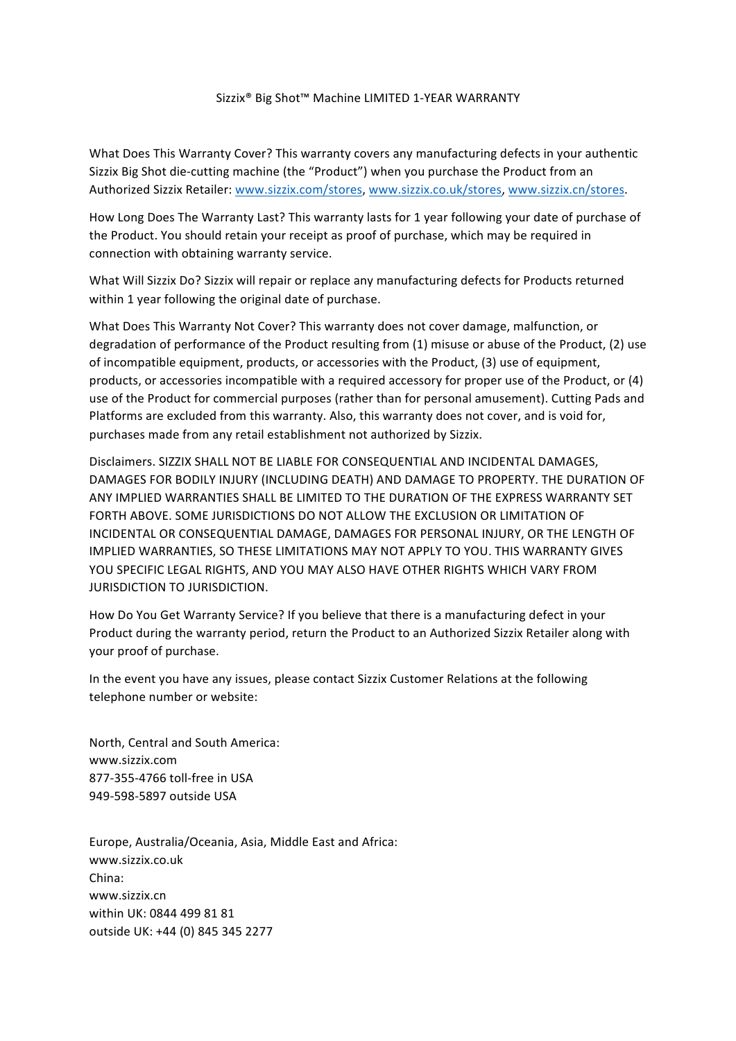## Sizzix<sup>®</sup> Big Shot™ Machine LIMITED 1-YEAR WARRANTY

What Does This Warranty Cover? This warranty covers any manufacturing defects in your authentic Sizzix Big Shot die-cutting machine (the "Product") when you purchase the Product from an Authorized Sizzix Retailer: www.sizzix.com/stores, www.sizzix.co.uk/stores, www.sizzix.cn/stores.

How Long Does The Warranty Last? This warranty lasts for 1 year following your date of purchase of the Product. You should retain your receipt as proof of purchase, which may be required in connection with obtaining warranty service.

What Will Sizzix Do? Sizzix will repair or replace any manufacturing defects for Products returned within 1 year following the original date of purchase.

What Does This Warranty Not Cover? This warranty does not cover damage, malfunction, or degradation of performance of the Product resulting from (1) misuse or abuse of the Product, (2) use of incompatible equipment, products, or accessories with the Product, (3) use of equipment, products, or accessories incompatible with a required accessory for proper use of the Product, or (4) use of the Product for commercial purposes (rather than for personal amusement). Cutting Pads and Platforms are excluded from this warranty. Also, this warranty does not cover, and is void for, purchases made from any retail establishment not authorized by Sizzix.

Disclaimers. SIZZIX SHALL NOT BE LIABLE FOR CONSEQUENTIAL AND INCIDENTAL DAMAGES, DAMAGES FOR BODILY INJURY (INCLUDING DEATH) AND DAMAGE TO PROPERTY. THE DURATION OF ANY IMPLIED WARRANTIES SHALL BE LIMITED TO THE DURATION OF THE EXPRESS WARRANTY SET FORTH ABOVE. SOME JURISDICTIONS DO NOT ALLOW THE EXCLUSION OR LIMITATION OF INCIDENTAL OR CONSEQUENTIAL DAMAGE, DAMAGES FOR PERSONAL INJURY, OR THE LENGTH OF IMPLIED WARRANTIES, SO THESE LIMITATIONS MAY NOT APPLY TO YOU. THIS WARRANTY GIVES YOU SPECIFIC LEGAL RIGHTS, AND YOU MAY ALSO HAVE OTHER RIGHTS WHICH VARY FROM JURISDICTION TO JURISDICTION.

How Do You Get Warranty Service? If you believe that there is a manufacturing defect in your Product during the warranty period, return the Product to an Authorized Sizzix Retailer along with your proof of purchase.

In the event you have any issues, please contact Sizzix Customer Relations at the following telephone number or website:

North, Central and South America: www.sizzix.com 877-355-4766 toll-free in USA 949-598-5897 outside USA

Europe, Australia/Oceania, Asia, Middle East and Africa: www.sizzix.co.uk China: www.sizzix.cn within UK: 0844 499 81 81 outside UK: +44 (0) 845 345 2277